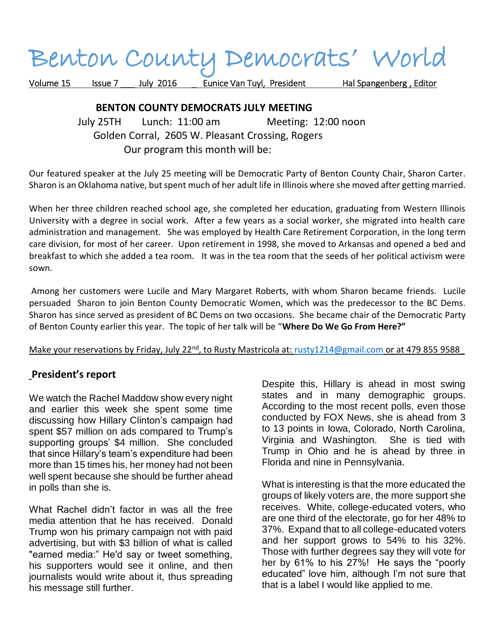# Benton County Democrats' World

Volume 15 Issue 7 \_\_\_ July 2016 \_\_\_ Eunice Van Tuyl, President Hal Spangenberg, Editor

## **BENTON COUNTY DEMOCRATS JULY MEETING**

 July 25TH Lunch: 11:00 am Meeting: 12:00 noon Golden Corral, 2605 W. Pleasant Crossing, Rogers Our program this month will be:

Our featured speaker at the July 25 meeting will be Democratic Party of Benton County Chair, Sharon Carter. Sharon is an Oklahoma native, but spent much of her adult life in Illinois where she moved after getting married.

When her three children reached school age, she completed her education, graduating from Western Illinois University with a degree in social work. After a few years as a social worker, she migrated into health care administration and management. She was employed by Health Care Retirement Corporation, in the long term care division, for most of her career. Upon retirement in 1998, she moved to Arkansas and opened a bed and breakfast to which she added a tea room. It was in the tea room that the seeds of her political activism were sown.

Among her customers were Lucile and Mary Margaret Roberts, with whom Sharon became friends. Lucile persuaded Sharon to join Benton County Democratic Women, which was the predecessor to the BC Dems. Sharon has since served as president of BC Dems on two occasions. She became chair of the Democratic Party of Benton County earlier this year. The topic of her talk will be "**Where Do We Go From Here?"**

#### Make your reservations by Friday, July 22<sup>nd</sup>, to Rusty Mastricola at: [rusty1214@gmail.com](mailto:rusty1214@gmail.com) or at 479 855 9588

## **President's report**

We watch the Rachel Maddow show every night and earlier this week she spent some time discussing how Hillary Clinton's campaign had spent \$57 million on ads compared to Trump's supporting groups' \$4 million. She concluded that since Hillary's team's expenditure had been more than 15 times his, her money had not been well spent because she should be further ahead in polls than she is.

What Rachel didn't factor in was all the free media attention that he has received. Donald Trump won his primary campaign not with paid advertising, but with \$3 billion of what is called "earned media:" He'd say or tweet something, his supporters would see it online, and then journalists would write about it, thus spreading his message still further.

Despite this, Hillary is ahead in most swing states and in many demographic groups. According to the most recent polls, even those conducted by FOX News, she is ahead from 3 to 13 points in Iowa, Colorado, North Carolina, Virginia and Washington. She is tied with Trump in Ohio and he is ahead by three in Florida and nine in Pennsylvania.

What is interesting is that the more educated the groups of likely voters are, the more support she receives. White, college-educated voters, who are one third of the electorate, go for her 48% to 37%. Expand that to all college-educated voters and her support grows to 54% to his 32%. Those with further degrees say they will vote for her by 61% to his 27%! He says the "poorly educated" love him, although I'm not sure that that is a label I would like applied to me.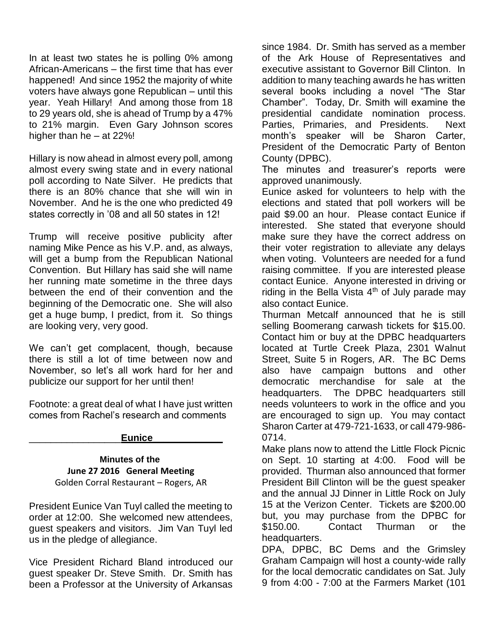In at least two states he is polling 0% among African-Americans – the first time that has ever happened! And since 1952 the majority of white voters have always gone Republican – until this year. Yeah Hillary! And among those from 18 to 29 years old, she is ahead of Trump by a 47% to 21% margin. Even Gary Johnson scores higher than he – at 22%!

Hillary is now ahead in almost every poll, among almost every swing state and in every national poll according to Nate Silver. He predicts that there is an 80% chance that she will win in November. And he is the one who predicted 49 states correctly in '08 and all 50 states in 12!

Trump will receive positive publicity after naming Mike Pence as his V.P. and, as always, will get a bump from the Republican National Convention. But Hillary has said she will name her running mate sometime in the three days between the end of their convention and the beginning of the Democratic one. She will also get a huge bump, I predict, from it. So things are looking very, very good.

We can't get complacent, though, because there is still a lot of time between now and November, so let's all work hard for her and publicize our support for her until then!

Footnote: a great deal of what I have just written comes from Rachel's research and comments

#### \_\_\_\_\_\_\_\_\_\_\_\_\_\_\_\_\_**Eunice\_\_\_\_\_\_\_\_\_\_\_\_\_**

#### **Minutes of the June 27 2016 General Meeting** Golden Corral Restaurant – Rogers, AR

President Eunice Van Tuyl called the meeting to order at 12:00. She welcomed new attendees, guest speakers and visitors. Jim Van Tuyl led us in the pledge of allegiance.

Vice President Richard Bland introduced our guest speaker Dr. Steve Smith. Dr. Smith has been a Professor at the University of Arkansas

since 1984. Dr. Smith has served as a member of the Ark House of Representatives and executive assistant to Governor Bill Clinton. In addition to many teaching awards he has written several books including a novel "The Star Chamber". Today, Dr. Smith will examine the presidential candidate nomination process. Parties, Primaries, and Presidents. Next month's speaker will be Sharon Carter, President of the Democratic Party of Benton County (DPBC).

The minutes and treasurer's reports were approved unanimously.

Eunice asked for volunteers to help with the elections and stated that poll workers will be paid \$9.00 an hour. Please contact Eunice if interested. She stated that everyone should make sure they have the correct address on their voter registration to alleviate any delays when voting. Volunteers are needed for a fund raising committee. If you are interested please contact Eunice. Anyone interested in driving or riding in the Bella Vista  $4<sup>th</sup>$  of July parade may also contact Eunice.

Thurman Metcalf announced that he is still selling Boomerang carwash tickets for \$15.00. Contact him or buy at the DPBC headquarters located at Turtle Creek Plaza, 2301 Walnut Street, Suite 5 in Rogers, AR. The BC Dems also have campaign buttons and other democratic merchandise for sale at the headquarters. The DPBC headquarters still needs volunteers to work in the office and you are encouraged to sign up. You may contact Sharon Carter at 479-721-1633, or call 479-986- 0714.

Make plans now to attend the Little Flock Picnic on Sept. 10 starting at 4:00. Food will be provided. Thurman also announced that former President Bill Clinton will be the guest speaker and the annual JJ Dinner in Little Rock on July 15 at the Verizon Center. Tickets are \$200.00 but, you may purchase from the DPBC for \$150.00. Contact Thurman or the headquarters.

DPA, DPBC, BC Dems and the Grimsley Graham Campaign will host a county-wide rally for the local democratic candidates on Sat. July 9 from 4:00 - 7:00 at the Farmers Market (101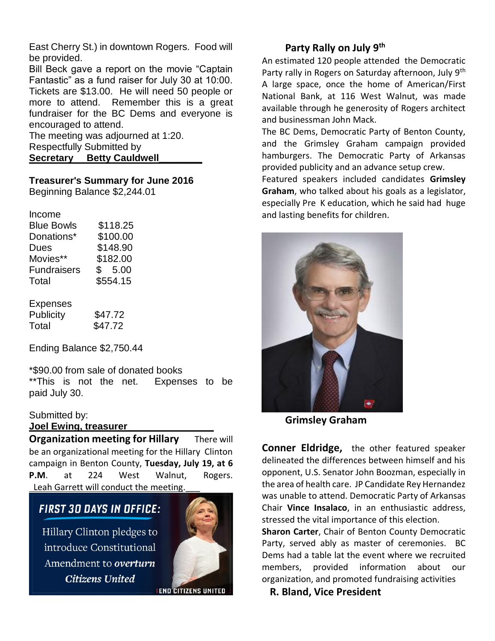East Cherry St.) in downtown Rogers. Food will be provided.

Bill Beck gave a report on the movie "Captain Fantastic" as a fund raiser for July 30 at 10:00. Tickets are \$13.00. He will need 50 people or more to attend. Remember this is a great fundraiser for the BC Dems and everyone is encouraged to attend.

The meeting was adjourned at 1:20. Respectfully Submitted by **Secretary Betty Cauldwell\_\_\_\_\_\_\_\_**

#### **Treasurer's Summary for June 2016**

Beginning Balance \$2,244.01

| Income             |          |
|--------------------|----------|
| <b>Blue Bowls</b>  | \$118.25 |
| Donations*         | \$100.00 |
| Dues               | \$148.90 |
| Movies**           | \$182.00 |
| <b>Fundraisers</b> | \$5.00   |
| Total              | \$554.15 |
|                    |          |

| Expenses  |         |
|-----------|---------|
| Publicity | \$47.72 |
| Total     | \$47.72 |

Ending Balance \$2,750.44

\*\$90.00 from sale of donated books \*\*This is not the net. Expenses to be paid July 30.

#### Submitted by:

#### **Joel Ewing, treasurer\_\_\_\_\_\_\_\_\_\_\_\_\_\_\_\_**

**Organization meeting for Hillary** There will be an organizational meeting for the Hillary Clinton campaign in Benton County, **Tuesday, July 19, at 6 P.M**. at 224 West Walnut, Rogers. Leah Garrett will conduct the meeting.

# **FIRST 30 DAYS IN OFFICE:**

Hillary Clinton pledges to introduce Constitutional Amendment to overturn **Citizens United** 



**IEND CITIZENS UNITED** 

## **Party Rally on July 9th**

An estimated 120 people attended the Democratic Party rally in Rogers on Saturday afternoon, July 9<sup>th</sup> A large space, once the home of American/First National Bank, at 116 West Walnut, was made available through he generosity of Rogers architect and businessman John Mack.

The BC Dems, Democratic Party of Benton County, and the Grimsley Graham campaign provided hamburgers. The Democratic Party of Arkansas provided publicity and an advance setup crew.

Featured speakers included candidates **Grimsley Graham**, who talked about his goals as a legislator, especially Pre K education, which he said had huge and lasting benefits for children.



 **Grimsley Graham**

**Conner Eldridge,** the other featured speaker delineated the differences between himself and his opponent, U.S. Senator John Boozman, especially in the area of health care. JP Candidate Rey Hernandez was unable to attend. Democratic Party of Arkansas Chair **Vince Insalaco**, in an enthusiastic address, stressed the vital importance of this election.

**Sharon Carter**, Chair of Benton County Democratic Party, served ably as master of ceremonies. BC Dems had a table lat the event where we recruited members, provided information about our organization, and promoted fundraising activities

 **R. Bland, Vice President**